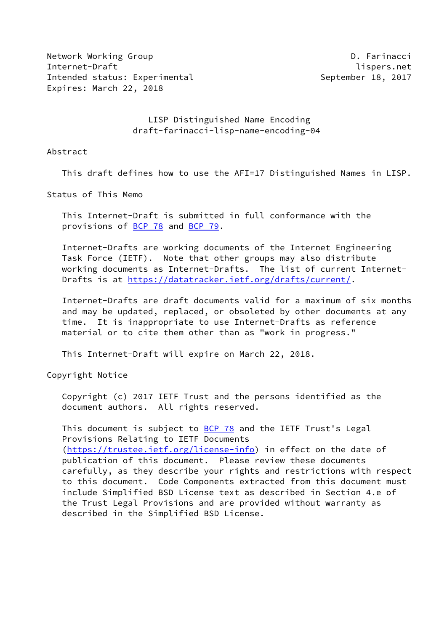Network Working Group **D. Farinacci** Internet-Draft lispers.net Intended status: Experimental September 18, 2017 Expires: March 22, 2018

 LISP Distinguished Name Encoding draft-farinacci-lisp-name-encoding-04

#### Abstract

This draft defines how to use the AFI=17 Distinguished Names in LISP.

Status of This Memo

 This Internet-Draft is submitted in full conformance with the provisions of [BCP 78](https://datatracker.ietf.org/doc/pdf/bcp78) and [BCP 79](https://datatracker.ietf.org/doc/pdf/bcp79).

 Internet-Drafts are working documents of the Internet Engineering Task Force (IETF). Note that other groups may also distribute working documents as Internet-Drafts. The list of current Internet- Drafts is at<https://datatracker.ietf.org/drafts/current/>.

 Internet-Drafts are draft documents valid for a maximum of six months and may be updated, replaced, or obsoleted by other documents at any time. It is inappropriate to use Internet-Drafts as reference material or to cite them other than as "work in progress."

This Internet-Draft will expire on March 22, 2018.

Copyright Notice

 Copyright (c) 2017 IETF Trust and the persons identified as the document authors. All rights reserved.

This document is subject to **[BCP 78](https://datatracker.ietf.org/doc/pdf/bcp78)** and the IETF Trust's Legal Provisions Relating to IETF Documents [\(https://trustee.ietf.org/license-info](https://trustee.ietf.org/license-info)) in effect on the date of publication of this document. Please review these documents carefully, as they describe your rights and restrictions with respect to this document. Code Components extracted from this document must include Simplified BSD License text as described in Section 4.e of the Trust Legal Provisions and are provided without warranty as described in the Simplified BSD License.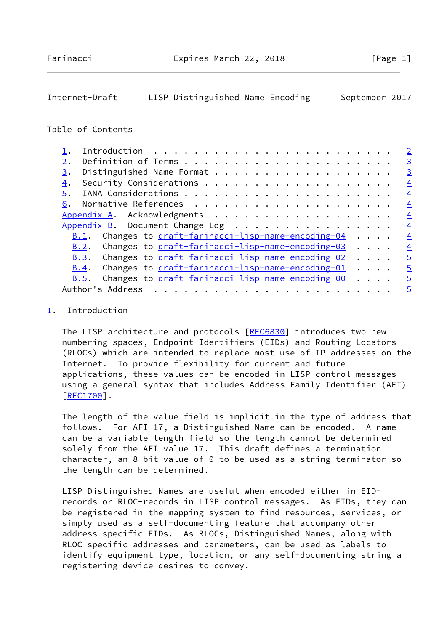## <span id="page-1-1"></span>Internet-Draft LISP Distinguished Name Encoding September 2017

### Table of Contents

|                                                                                 | $\overline{2}$ |
|---------------------------------------------------------------------------------|----------------|
| 2.                                                                              | $\overline{3}$ |
| 3.                                                                              | $\overline{3}$ |
| 4.                                                                              | $\overline{4}$ |
| 5.                                                                              | $\overline{4}$ |
|                                                                                 | $\overline{4}$ |
| Appendix A. Acknowledgments                                                     | $\overline{4}$ |
| Appendix B. Document Change Log                                                 | $\overline{4}$ |
| <u>B.1</u> . Changes to $dr$ aft-farinacci-lisp-name-encoding-04                | $\frac{4}{3}$  |
| B.2. Changes to draft-farinacci-lisp-name-encoding-03                           | $\overline{4}$ |
| $B.3$ . Changes to $dr$ aft-farinacci-lisp-name-encoding-02                     | $\overline{5}$ |
| $\underline{B.4}$ . Changes to $\frac{draft-farinacci-lisp-name-encoding-01}{}$ | $\overline{5}$ |
| Changes to draft-farinacci-lisp-name-encoding-00<br>B.5.                        | $\overline{5}$ |
|                                                                                 | $\overline{5}$ |

#### <span id="page-1-0"></span>[1](#page-1-0). Introduction

The LISP architecture and protocols [\[RFC6830](https://datatracker.ietf.org/doc/pdf/rfc6830)] introduces two new numbering spaces, Endpoint Identifiers (EIDs) and Routing Locators (RLOCs) which are intended to replace most use of IP addresses on the Internet. To provide flexibility for current and future applications, these values can be encoded in LISP control messages using a general syntax that includes Address Family Identifier (AFI) [\[RFC1700](https://datatracker.ietf.org/doc/pdf/rfc1700)].

 The length of the value field is implicit in the type of address that follows. For AFI 17, a Distinguished Name can be encoded. A name can be a variable length field so the length cannot be determined solely from the AFI value 17. This draft defines a termination character, an 8-bit value of 0 to be used as a string terminator so the length can be determined.

 LISP Distinguished Names are useful when encoded either in EID records or RLOC-records in LISP control messages. As EIDs, they can be registered in the mapping system to find resources, services, or simply used as a self-documenting feature that accompany other address specific EIDs. As RLOCs, Distinguished Names, along with RLOC specific addresses and parameters, can be used as labels to identify equipment type, location, or any self-documenting string a registering device desires to convey.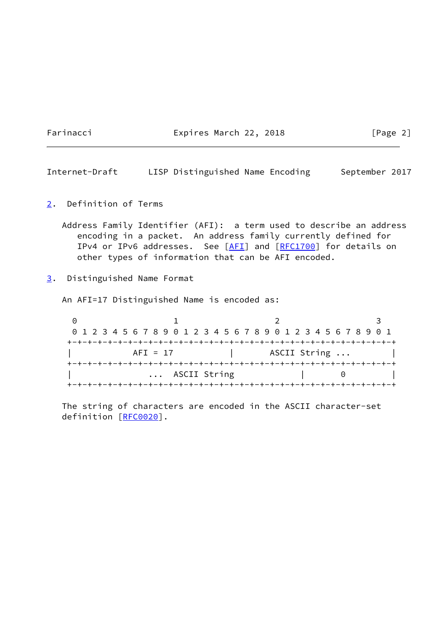Farinacci Expires March 22, 2018 [Page 2]

<span id="page-2-1"></span>Internet-Draft LISP Distinguished Name Encoding September 2017

<span id="page-2-0"></span>[2](#page-2-0). Definition of Terms

 Address Family Identifier (AFI): a term used to describe an address encoding in a packet. An address family currently defined for IPv4 or IPv6 addresses. See [\[AFI](#page-3-5)] and [[RFC1700](https://datatracker.ietf.org/doc/pdf/rfc1700)] for details on other types of information that can be AFI encoded.

<span id="page-2-2"></span>[3](#page-2-2). Distinguished Name Format

An AFI=17 Distinguished Name is encoded as:

0 1 2 3 0 1 2 3 4 5 6 7 8 9 0 1 2 3 4 5 6 7 8 9 0 1 2 3 4 5 6 7 8 9 0 1 +-+-+-+-+-+-+-+-+-+-+-+-+-+-+-+-+-+-+-+-+-+-+-+-+-+-+-+-+-+-+-+-+ AFI = 17 | ASCII String ... | +-+-+-+-+-+-+-+-+-+-+-+-+-+-+-+-+-+-+-+-+-+-+-+-+-+-+-+-+-+-+-+-+ | ... ASCII String | 0 | +-+-+-+-+-+-+-+-+-+-+-+-+-+-+-+-+-+-+-+-+-+-+-+-+-+-+-+-+-+-+-+-+

 The string of characters are encoded in the ASCII character-set definition [[RFC0020\]](https://datatracker.ietf.org/doc/pdf/rfc0020).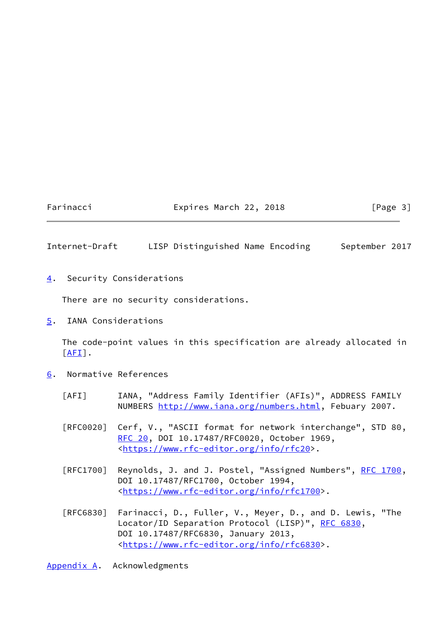## Farinacci **Expires March 22, 2018** [Page 3]

## <span id="page-3-1"></span>Internet-Draft LISP Distinguished Name Encoding September 2017

<span id="page-3-0"></span>[4](#page-3-0). Security Considerations

There are no security considerations.

<span id="page-3-2"></span>[5](#page-3-2). IANA Considerations

 The code-point values in this specification are already allocated in  $[AFI]$  $[AFI]$ .

- <span id="page-3-5"></span><span id="page-3-3"></span>[6](#page-3-3). Normative References
	- [AFI] IANA, "Address Family Identifier (AFIs)", ADDRESS FAMILY NUMBERS [http://www.iana.org/numbers.html,](http://www.iana.org/numbers.html) Febuary 2007.
	- [RFC0020] Cerf, V., "ASCII format for network interchange", STD 80, [RFC 20](https://datatracker.ietf.org/doc/pdf/rfc20), DOI 10.17487/RFC0020, October 1969, <[https://www.rfc-editor.org/info/rfc20>](https://www.rfc-editor.org/info/rfc20).
	- [RFC1700] Reynolds, J. and J. Postel, "Assigned Numbers", [RFC 1700,](https://datatracker.ietf.org/doc/pdf/rfc1700) DOI 10.17487/RFC1700, October 1994, <[https://www.rfc-editor.org/info/rfc1700>](https://www.rfc-editor.org/info/rfc1700).
	- [RFC6830] Farinacci, D., Fuller, V., Meyer, D., and D. Lewis, "The Locator/ID Separation Protocol (LISP)", [RFC 6830,](https://datatracker.ietf.org/doc/pdf/rfc6830) DOI 10.17487/RFC6830, January 2013, <[https://www.rfc-editor.org/info/rfc6830>](https://www.rfc-editor.org/info/rfc6830).

<span id="page-3-4"></span>[Appendix A.](#page-3-4) Acknowledgments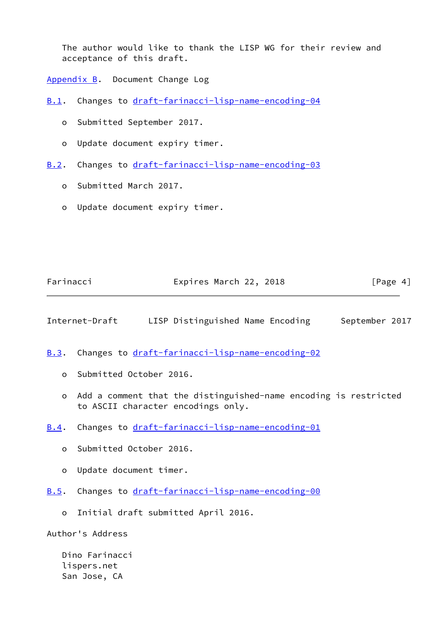The author would like to thank the LISP WG for their review and acceptance of this draft.

<span id="page-4-0"></span>[Appendix B.](#page-4-0) Document Change Log

<span id="page-4-1"></span>[B.1](#page-4-1). Changes to [draft-farinacci-lisp-name-encoding-04](https://datatracker.ietf.org/doc/pdf/draft-farinacci-lisp-name-encoding-04)

- o Submitted September 2017.
- o Update document expiry timer.
- <span id="page-4-2"></span>[B.2](#page-4-2). Changes to [draft-farinacci-lisp-name-encoding-03](https://datatracker.ietf.org/doc/pdf/draft-farinacci-lisp-name-encoding-03)
	- o Submitted March 2017.
	- o Update document expiry timer.

| Farinacci | Expires March 22, 2018 |  | [Page 4] |
|-----------|------------------------|--|----------|
|-----------|------------------------|--|----------|

<span id="page-4-4"></span>Internet-Draft LISP Distinguished Name Encoding September 2017

<span id="page-4-3"></span>[B.3](#page-4-3). Changes to [draft-farinacci-lisp-name-encoding-02](https://datatracker.ietf.org/doc/pdf/draft-farinacci-lisp-name-encoding-02)

- o Submitted October 2016.
- o Add a comment that the distinguished-name encoding is restricted to ASCII character encodings only.
- <span id="page-4-5"></span>[B.4](#page-4-5). Changes to [draft-farinacci-lisp-name-encoding-01](https://datatracker.ietf.org/doc/pdf/draft-farinacci-lisp-name-encoding-01)
	- o Submitted October 2016.
	- o Update document timer.
- <span id="page-4-6"></span>[B.5](#page-4-6). Changes to [draft-farinacci-lisp-name-encoding-00](https://datatracker.ietf.org/doc/pdf/draft-farinacci-lisp-name-encoding-00)
	- o Initial draft submitted April 2016.

Author's Address

 Dino Farinacci lispers.net San Jose, CA